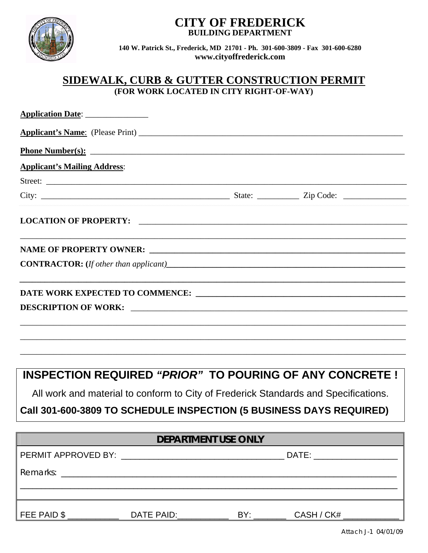

## **CITY OF FREDERICK BUILDING DEPARTMENT**

**140 W. Patrick St., Frederick, MD 21701 - Ph. 301-600-3809 - Fax 301-600-6280 www.cityoffrederick.com**

## **SIDEWALK, CURB & GUTTER CONSTRUCTION PERMIT (FOR WORK LOCATED IN CITY RIGHT-OF-WAY)**

|                                     |                     | <u>Phone Number(s):</u>                                                             |  |
|-------------------------------------|---------------------|-------------------------------------------------------------------------------------|--|
| <b>Applicant's Mailing Address:</b> |                     |                                                                                     |  |
|                                     |                     |                                                                                     |  |
|                                     |                     |                                                                                     |  |
| LOCATION OF PROPERTY:               |                     |                                                                                     |  |
|                                     |                     |                                                                                     |  |
|                                     |                     |                                                                                     |  |
|                                     |                     | <b>INSPECTION REQUIRED "PRIOR" TO POURING OF ANY CONCRETE!</b>                      |  |
|                                     |                     | All work and material to conform to City of Frederick Standards and Specifications. |  |
|                                     |                     | Call 301-600-3809 TO SCHEDULE INSPECTION (5 BUSINESS DAYS REQUIRED)                 |  |
|                                     | DEPARTMENT USE ONLY |                                                                                     |  |
|                                     |                     |                                                                                     |  |
|                                     |                     |                                                                                     |  |
|                                     |                     |                                                                                     |  |

Attach J-1 04/01/09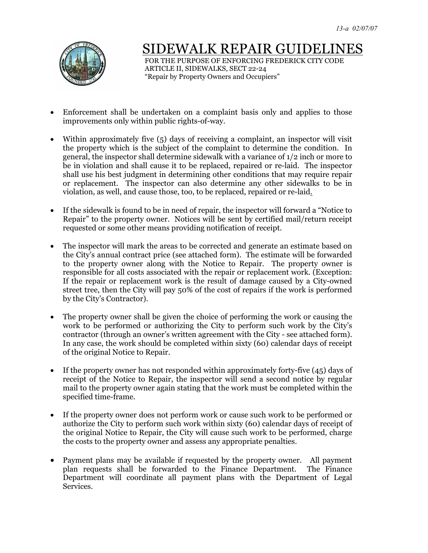

## SIDEWALK REPAIR GUIDEI

 FOR THE PURPOSE OF ENFORCING FREDERICK CITY CODE ARTICLE II, SIDEWALKS, SECT 22-24 "Repair by Property Owners and Occupiers"

- Enforcement shall be undertaken on a complaint basis only and applies to those improvements only within public rights-of-way.
- Within approximately five (5) days of receiving a complaint, an inspector will visit the property which is the subject of the complaint to determine the condition. In general, the inspector shall determine sidewalk with a variance of 1/2 inch or more to be in violation and shall cause it to be replaced, repaired or re-laid. The inspector shall use his best judgment in determining other conditions that may require repair or replacement. The inspector can also determine any other sidewalks to be in violation, as well, and cause those, too, to be replaced, repaired or re-laid.
- If the sidewalk is found to be in need of repair, the inspector will forward a "Notice to" Repair" to the property owner. Notices will be sent by certified mail/return receipt requested or some other means providing notification of receipt.
- The inspector will mark the areas to be corrected and generate an estimate based on the City's annual contract price (see attached form). The estimate will be forwarded to the property owner along with the Notice to Repair. The property owner is responsible for all costs associated with the repair or replacement work. (Exception: If the repair or replacement work is the result of damage caused by a City-owned street tree, then the City will pay 50% of the cost of repairs if the work is performed by the City's Contractor).
- The property owner shall be given the choice of performing the work or causing the work to be performed or authorizing the City to perform such work by the City's contractor (through an owner's written agreement with the City - see attached form). In any case, the work should be completed within sixty (60) calendar days of receipt of the original Notice to Repair.
- If the property owner has not responded within approximately forty-five (45) days of receipt of the Notice to Repair, the inspector will send a second notice by regular mail to the property owner again stating that the work must be completed within the specified time-frame.
- If the property owner does not perform work or cause such work to be performed or authorize the City to perform such work within sixty (60) calendar days of receipt of the original Notice to Repair, the City will cause such work to be performed, charge the costs to the property owner and assess any appropriate penalties.
- Payment plans may be available if requested by the property owner. All payment plan requests shall be forwarded to the Finance Department. The Finance Department will coordinate all payment plans with the Department of Legal Services.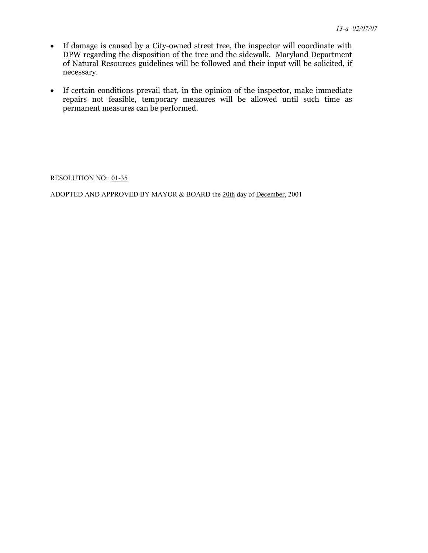- If damage is caused by a City-owned street tree, the inspector will coordinate with DPW regarding the disposition of the tree and the sidewalk. Maryland Department of Natural Resources guidelines will be followed and their input will be solicited, if necessary.
- If certain conditions prevail that, in the opinion of the inspector, make immediate repairs not feasible, temporary measures will be allowed until such time as permanent measures can be performed.

RESOLUTION NO: 01-35

ADOPTED AND APPROVED BY MAYOR & BOARD the 20th day of December, 2001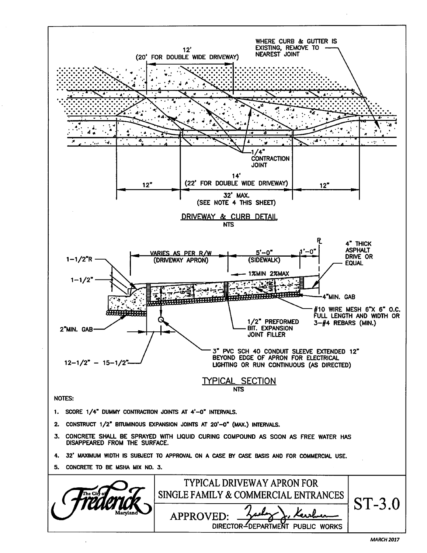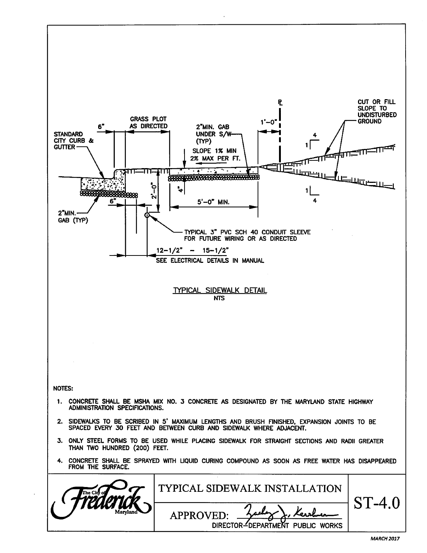